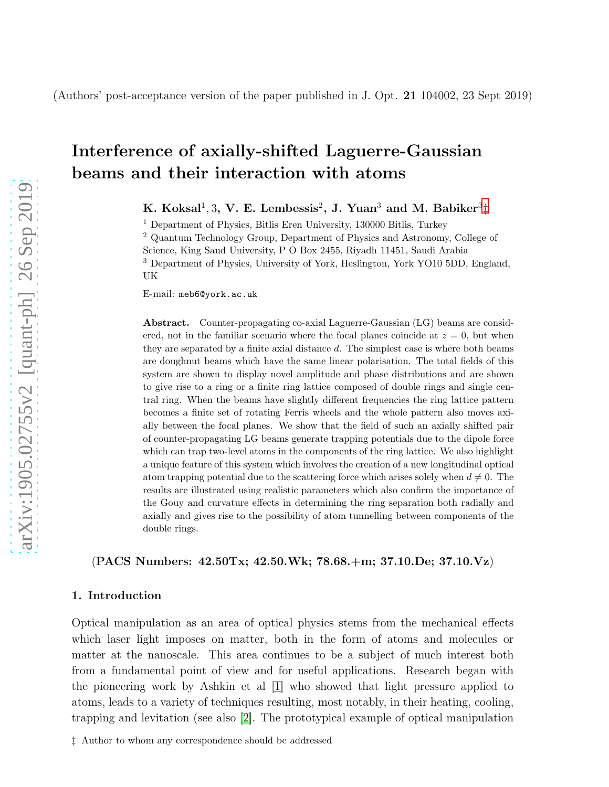# Interference of axially-shifted Laguerre-Gaussian beams and their interaction with atoms

K. Koksal<sup>1</sup>, 3, V. E. Lembessis<sup>2</sup>, J. Yuan<sup>3</sup> and M. Babiker<sup>3</sup>[‡](#page-0-0)

<sup>1</sup> Department of Physics, Bitlis Eren University, 130000 Bitlis, Turkey

<sup>2</sup> Quantum Technology Group, Department of Physics and Astronomy, College of Science, King Saud University, P O Box 2455, Riyadh 11451, Saudi Arabia <sup>3</sup> Department of Physics, University of York, Heslington, York YO10 5DD, England, UK

E-mail: meb6@york.ac.uk

Abstract. Counter-propagating co-axial Laguerre-Gaussian (LG) beams are considered, not in the familiar scenario where the focal planes coincide at  $z = 0$ , but when they are separated by a finite axial distance d. The simplest case is where both beams are doughnut beams which have the same linear polarisation. The total fields of this system are shown to display novel amplitude and phase distributions and are shown to give rise to a ring or a finite ring lattice composed of double rings and single central ring. When the beams have slightly different frequencies the ring lattice pattern becomes a finite set of rotating Ferris wheels and the whole pattern also moves axially between the focal planes. We show that the field of such an axially shifted pair of counter-propagating LG beams generate trapping potentials due to the dipole force which can trap two-level atoms in the components of the ring lattice. We also highlight a unique feature of this system which involves the creation of a new longitudinal optical atom trapping potential due to the scattering force which arises solely when  $d \neq 0$ . The results are illustrated using realistic parameters which also confirm the importance of the Gouy and curvature effects in determining the ring separation both radially and axially and gives rise to the possibility of atom tunnelling between components of the double rings.

(PACS Numbers: 42.50Tx; 42.50.Wk; 78.68.+m; 37.10.De; 37.10.Vz)

## 1. Introduction

Optical manipulation as an area of optical physics stems from the mechanical effects which laser light imposes on matter, both in the form of atoms and molecules or matter at the nanoscale. This area continues to be a subject of much interest both from a fundamental point of view and for useful applications. Research began with the pioneering work by Ashkin et al [\[1\]](#page-13-0) who showed that light pressure applied to atoms, leads to a variety of techniques resulting, most notably, in their heating, cooling, trapping and levitation (see also [\[2\]](#page-13-1). The prototypical example of optical manipulation

<span id="page-0-0"></span>‡ Author to whom any correspondence should be addressed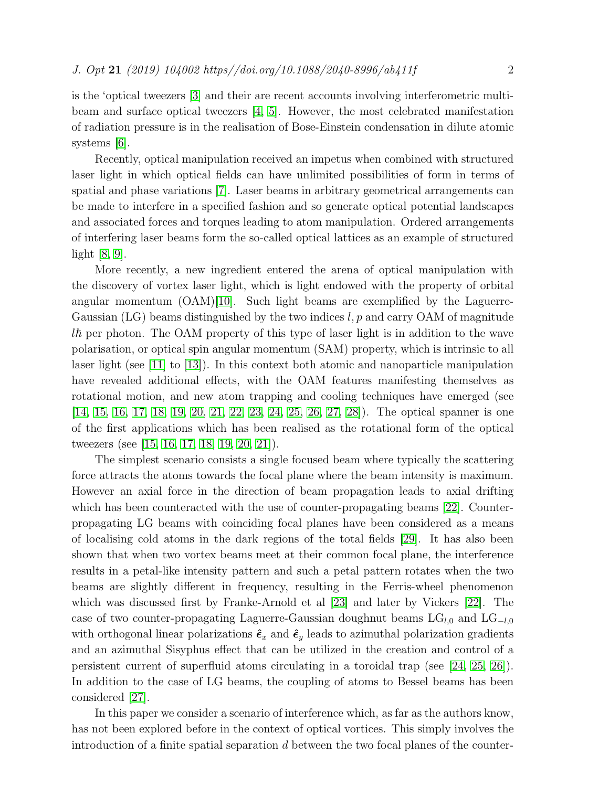is the 'optical tweezers [\[3\]](#page-13-2) and their are recent accounts involving interferometric multibeam and surface optical tweezers [\[4,](#page-13-3) [5\]](#page-13-4). However, the most celebrated manifestation of radiation pressure is in the realisation of Bose-Einstein condensation in dilute atomic systems [\[6\]](#page-13-5).

Recently, optical manipulation received an impetus when combined with structured laser light in which optical fields can have unlimited possibilities of form in terms of spatial and phase variations [\[7\]](#page-13-6). Laser beams in arbitrary geometrical arrangements can be made to interfere in a specified fashion and so generate optical potential landscapes and associated forces and torques leading to atom manipulation. Ordered arrangements of interfering laser beams form the so-called optical lattices as an example of structured light [\[8,](#page-13-7) [9\]](#page-13-8).

More recently, a new ingredient entered the arena of optical manipulation with the discovery of vortex laser light, which is light endowed with the property of orbital angular momentum  $(OAM)[10]$  $(OAM)[10]$ . Such light beams are exemplified by the Laguerre-Gaussian (LG) beams distinguished by the two indices  $l, p$  and carry OAM of magnitude  $l\hbar$  per photon. The OAM property of this type of laser light is in addition to the wave polarisation, or optical spin angular momentum (SAM) property, which is intrinsic to all laser light (see [\[11\]](#page-13-10) to [\[13\]](#page-14-0)). In this context both atomic and nanoparticle manipulation have revealed additional effects, with the OAM features manifesting themselves as rotational motion, and new atom trapping and cooling techniques have emerged (see [\[14,](#page-14-1) [15,](#page-14-2) [16,](#page-14-3) [17,](#page-14-4) [18,](#page-14-5) [19,](#page-14-6) [20,](#page-14-7) [21,](#page-14-8) [22,](#page-14-9) [23,](#page-14-10) [24,](#page-14-11) [25,](#page-14-12) [26,](#page-14-13) [27,](#page-14-14) [28\]](#page-14-15)). The optical spanner is one of the first applications which has been realised as the rotational form of the optical tweezers (see [\[15,](#page-14-2) [16,](#page-14-3) [17,](#page-14-4) [18,](#page-14-5) [19,](#page-14-6) [20,](#page-14-7) [21\]](#page-14-8)).

The simplest scenario consists a single focused beam where typically the scattering force attracts the atoms towards the focal plane where the beam intensity is maximum. However an axial force in the direction of beam propagation leads to axial drifting which has been counteracted with the use of counter-propagating beams [\[22\]](#page-14-9). Counterpropagating LG beams with coinciding focal planes have been considered as a means of localising cold atoms in the dark regions of the total fields [\[29\]](#page-14-16). It has also been shown that when two vortex beams meet at their common focal plane, the interference results in a petal-like intensity pattern and such a petal pattern rotates when the two beams are slightly different in frequency, resulting in the Ferris-wheel phenomenon which was discussed first by Franke-Arnold et al [\[23\]](#page-14-10) and later by Vickers [\[22\]](#page-14-9). The case of two counter-propagating Laguerre-Gaussian doughnut beams  $LG_{l,0}$  and  $LG_{-l,0}$ with orthogonal linear polarizations  $\hat{\epsilon}_x$  and  $\hat{\epsilon}_y$  leads to azimuthal polarization gradients and an azimuthal Sisyphus effect that can be utilized in the creation and control of a persistent current of superfluid atoms circulating in a toroidal trap (see [\[24,](#page-14-11) [25,](#page-14-12) [26\]](#page-14-13)). In addition to the case of LG beams, the coupling of atoms to Bessel beams has been considered [\[27\]](#page-14-14).

In this paper we consider a scenario of interference which, as far as the authors know, has not been explored before in the context of optical vortices. This simply involves the introduction of a finite spatial separation d between the two focal planes of the counter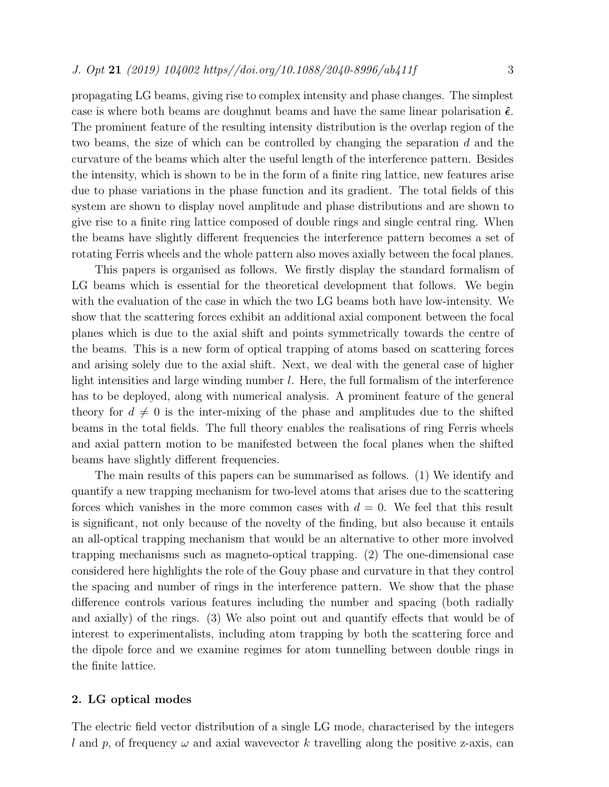propagating LG beams, giving rise to complex intensity and phase changes. The simplest case is where both beams are doughnut beams and have the same linear polarisation  $\hat{\epsilon}$ . The prominent feature of the resulting intensity distribution is the overlap region of the two beams, the size of which can be controlled by changing the separation d and the curvature of the beams which alter the useful length of the interference pattern. Besides the intensity, which is shown to be in the form of a finite ring lattice, new features arise due to phase variations in the phase function and its gradient. The total fields of this system are shown to display novel amplitude and phase distributions and are shown to give rise to a finite ring lattice composed of double rings and single central ring. When the beams have slightly different frequencies the interference pattern becomes a set of rotating Ferris wheels and the whole pattern also moves axially between the focal planes.

This papers is organised as follows. We firstly display the standard formalism of LG beams which is essential for the theoretical development that follows. We begin with the evaluation of the case in which the two LG beams both have low-intensity. We show that the scattering forces exhibit an additional axial component between the focal planes which is due to the axial shift and points symmetrically towards the centre of the beams. This is a new form of optical trapping of atoms based on scattering forces and arising solely due to the axial shift. Next, we deal with the general case of higher light intensities and large winding number l. Here, the full formalism of the interference has to be deployed, along with numerical analysis. A prominent feature of the general theory for  $d \neq 0$  is the inter-mixing of the phase and amplitudes due to the shifted beams in the total fields. The full theory enables the realisations of ring Ferris wheels and axial pattern motion to be manifested between the focal planes when the shifted beams have slightly different frequencies.

The main results of this papers can be summarised as follows. (1) We identify and quantify a new trapping mechanism for two-level atoms that arises due to the scattering forces which vanishes in the more common cases with  $d = 0$ . We feel that this result is significant, not only because of the novelty of the finding, but also because it entails an all-optical trapping mechanism that would be an alternative to other more involved trapping mechanisms such as magneto-optical trapping. (2) The one-dimensional case considered here highlights the role of the Gouy phase and curvature in that they control the spacing and number of rings in the interference pattern. We show that the phase difference controls various features including the number and spacing (both radially and axially) of the rings. (3) We also point out and quantify effects that would be of interest to experimentalists, including atom trapping by both the scattering force and the dipole force and we examine regimes for atom tunnelling between double rings in the finite lattice.

## 2. LG optical modes

The electric field vector distribution of a single LG mode, characterised by the integers l and p, of frequency  $\omega$  and axial wavevector k travelling along the positive z-axis, can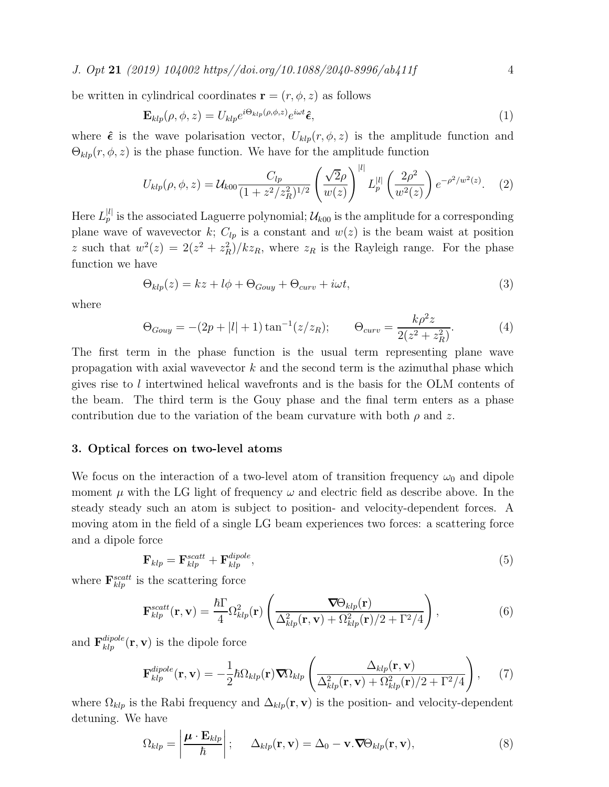J. Opt 21 (2019)  $104002$  https//doi.org/10.1088/2040-8996/ab411f 4

be written in cylindrical coordinates  $\mathbf{r} = (r, \phi, z)$  as follows

$$
\mathbf{E}_{klp}(\rho,\phi,z) = U_{klp}e^{i\Theta_{klp}(\rho,\phi,z)}e^{i\omega t}\hat{\boldsymbol{\epsilon}},\tag{1}
$$

where  $\hat{\epsilon}$  is the wave polarisation vector,  $U_{klp}(r, \phi, z)$  is the amplitude function and  $\Theta_{klp}(r, \phi, z)$  is the phase function. We have for the amplitude function

<span id="page-3-0"></span>
$$
U_{klp}(\rho,\phi,z) = \mathcal{U}_{k00} \frac{C_{lp}}{(1+z^2/z_R^2)^{1/2}} \left(\frac{\sqrt{2}\rho}{w(z)}\right)^{|l|} L_p^{|l|} \left(\frac{2\rho^2}{w^2(z)}\right) e^{-\rho^2/w^2(z)}.
$$
 (2)

Here  $L_p^{[l]}$  is the associated Laguerre polynomial;  $\mathcal{U}_{k00}$  is the amplitude for a corresponding plane wave of wavevector k;  $C_{lp}$  is a constant and  $w(z)$  is the beam waist at position z such that  $w^2(z) = 2(z^2 + z_R^2)/kz_R$ , where  $z_R$  is the Rayleigh range. For the phase function we have

<span id="page-3-1"></span>
$$
\Theta_{klp}(z) = kz + l\phi + \Theta_{Gouy} + \Theta_{curv} + i\omega t, \tag{3}
$$

where

$$
\Theta_{Gouy} = -(2p + |l| + 1)\tan^{-1}(z/z_R); \qquad \Theta_{curv} = \frac{k\rho^2 z}{2(z^2 + z_R^2)}.
$$
 (4)

The first term in the phase function is the usual term representing plane wave propagation with axial wavevector  $k$  and the second term is the azimuthal phase which gives rise to l intertwined helical wavefronts and is the basis for the OLM contents of the beam. The third term is the Gouy phase and the final term enters as a phase contribution due to the variation of the beam curvature with both  $\rho$  and z.

#### 3. Optical forces on two-level atoms

We focus on the interaction of a two-level atom of transition frequency  $\omega_0$  and dipole moment  $\mu$  with the LG light of frequency  $\omega$  and electric field as describe above. In the steady steady such an atom is subject to position- and velocity-dependent forces. A moving atom in the field of a single LG beam experiences two forces: a scattering force and a dipole force

$$
\mathbf{F}_{klp} = \mathbf{F}_{klp}^{scatt} + \mathbf{F}_{klp}^{dipole},\tag{5}
$$

where  $\mathbf{F}_{klp}^{scatt}$  is the scattering force

$$
\mathbf{F}_{klp}^{scatt}(\mathbf{r}, \mathbf{v}) = \frac{\hbar \Gamma}{4} \Omega_{klp}^2(\mathbf{r}) \left( \frac{\nabla \Theta_{klp}(\mathbf{r})}{\Delta_{klp}^2(\mathbf{r}, \mathbf{v}) + \Omega_{klp}^2(\mathbf{r})/2 + \Gamma^2/4} \right), \tag{6}
$$

and  $\mathbf{F}_{klp}^{dipole}(\mathbf{r}, \mathbf{v})$  is the dipole force

$$
\mathbf{F}_{klp}^{dipole}(\mathbf{r},\mathbf{v}) = -\frac{1}{2}\hbar\Omega_{klp}(\mathbf{r})\boldsymbol{\nabla}\Omega_{klp}\left(\frac{\Delta_{klp}(\mathbf{r},\mathbf{v})}{\Delta_{klp}^2(\mathbf{r},\mathbf{v})+\Omega_{klp}^2(\mathbf{r})/2+\Gamma^2/4}\right),\qquad(7)
$$

where  $\Omega_{klp}$  is the Rabi frequency and  $\Delta_{klp}(\mathbf{r}, \mathbf{v})$  is the position- and velocity-dependent detuning. We have

$$
\Omega_{klp} = \left| \frac{\boldsymbol{\mu} \cdot \mathbf{E}_{klp}}{\hbar} \right|; \quad \Delta_{klp}(\mathbf{r}, \mathbf{v}) = \Delta_0 - \mathbf{v} \cdot \nabla \Theta_{klp}(\mathbf{r}, \mathbf{v}), \tag{8}
$$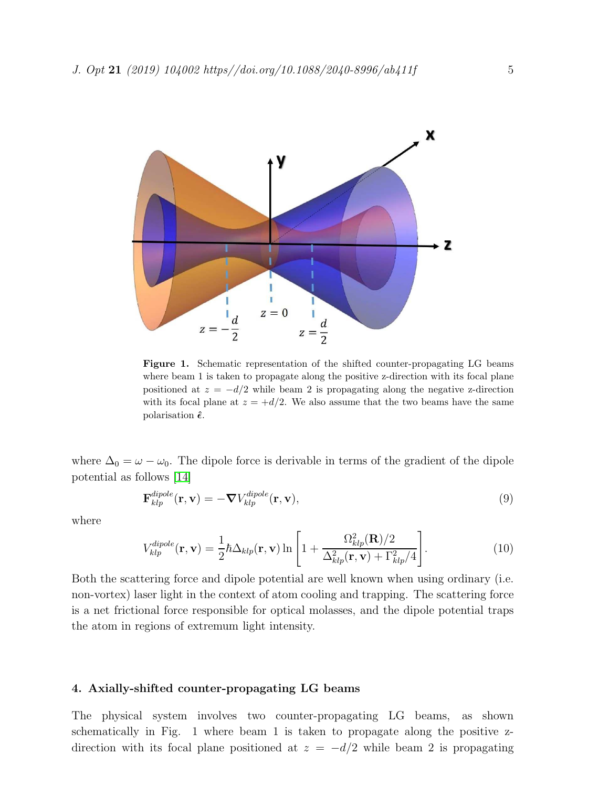

Figure 1. Schematic representation of the shifted counter-propagating LG beams where beam 1 is taken to propagate along the positive z-direction with its focal plane positioned at  $z = -d/2$  while beam 2 is propagating along the negative z-direction with its focal plane at  $z = +d/2$ . We also assume that the two beams have the same polarisation  $\hat{\epsilon}$ .

where  $\Delta_0 = \omega - \omega_0$ . The dipole force is derivable in terms of the gradient of the dipole potential as follows [\[14\]](#page-14-1)

$$
\mathbf{F}_{klp}^{dipole}(\mathbf{r}, \mathbf{v}) = -\nabla V_{klp}^{dipole}(\mathbf{r}, \mathbf{v}),
$$
\n(9)

where

$$
V_{klp}^{dipole}(\mathbf{r}, \mathbf{v}) = \frac{1}{2} \hbar \Delta_{klp}(\mathbf{r}, \mathbf{v}) \ln \left[ 1 + \frac{\Omega_{klp}^2(\mathbf{R})/2}{\Delta_{klp}^2(\mathbf{r}, \mathbf{v}) + \Gamma_{klp}^2/4} \right].
$$
 (10)

Both the scattering force and dipole potential are well known when using ordinary (i.e. non-vortex) laser light in the context of atom cooling and trapping. The scattering force is a net frictional force responsible for optical molasses, and the dipole potential traps the atom in regions of extremum light intensity.

## 4. Axially-shifted counter-propagating LG beams

The physical system involves two counter-propagating LG beams, as shown schematically in Fig. 1 where beam 1 is taken to propagate along the positive zdirection with its focal plane positioned at  $z = -d/2$  while beam 2 is propagating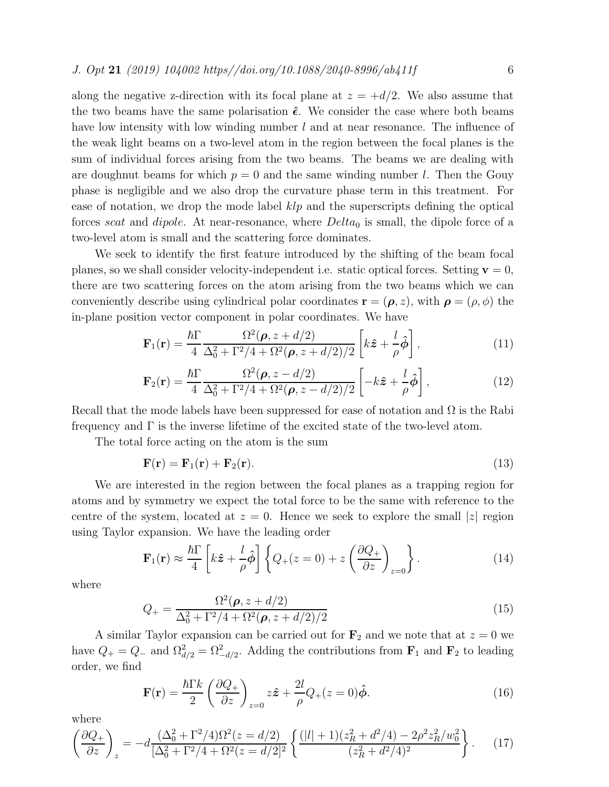along the negative z-direction with its focal plane at  $z = +d/2$ . We also assume that the two beams have the same polarisation  $\hat{\epsilon}$ . We consider the case where both beams have low intensity with low winding number l and at near resonance. The influence of the weak light beams on a two-level atom in the region between the focal planes is the sum of individual forces arising from the two beams. The beams we are dealing with are doughnut beams for which  $p = 0$  and the same winding number l. Then the Gouy phase is negligible and we also drop the curvature phase term in this treatment. For ease of notation, we drop the mode label  $klp$  and the superscripts defining the optical forces scat and dipole. At near-resonance, where  $Delta_0$  is small, the dipole force of a two-level atom is small and the scattering force dominates.

We seek to identify the first feature introduced by the shifting of the beam focal planes, so we shall consider velocity-independent i.e. static optical forces. Setting  $\mathbf{v} = 0$ , there are two scattering forces on the atom arising from the two beams which we can conveniently describe using cylindrical polar coordinates  $\mathbf{r} = (\rho, z)$ , with  $\rho = (\rho, \phi)$  the in-plane position vector component in polar coordinates. We have

$$
\mathbf{F}_1(\mathbf{r}) = \frac{\hbar \Gamma}{4} \frac{\Omega^2(\boldsymbol{\rho}, z + d/2)}{\Delta_0^2 + \Gamma^2/4 + \Omega^2(\boldsymbol{\rho}, z + d/2)/2} \left[ k\hat{\mathbf{z}} + \frac{l}{\rho} \hat{\boldsymbol{\phi}} \right],
$$
(11)

$$
\mathbf{F}_2(\mathbf{r}) = \frac{\hbar \Gamma}{4} \frac{\Omega^2(\boldsymbol{\rho}, z - d/2)}{\Delta_0^2 + \Gamma^2/4 + \Omega^2(\boldsymbol{\rho}, z - d/2)/2} \left[ -k\hat{\mathbf{z}} + \frac{l}{\rho} \hat{\boldsymbol{\phi}} \right],
$$
(12)

Recall that the mode labels have been suppressed for ease of notation and  $\Omega$  is the Rabi frequency and  $\Gamma$  is the inverse lifetime of the excited state of the two-level atom.

The total force acting on the atom is the sum

$$
\mathbf{F}(\mathbf{r}) = \mathbf{F}_1(\mathbf{r}) + \mathbf{F}_2(\mathbf{r}).
$$
\n(13)

We are interested in the region between the focal planes as a trapping region for atoms and by symmetry we expect the total force to be the same with reference to the centre of the system, located at  $z = 0$ . Hence we seek to explore the small |z| region using Taylor expansion. We have the leading order

$$
\mathbf{F}_1(\mathbf{r}) \approx \frac{\hbar \Gamma}{4} \left[ k\hat{\mathbf{z}} + \frac{l}{\rho} \hat{\boldsymbol{\phi}} \right] \left\{ Q_+(z=0) + z \left( \frac{\partial Q_+}{\partial z} \right)_{z=0} \right\}.
$$
 (14)

where

<span id="page-5-0"></span>
$$
Q_{+} = \frac{\Omega^{2}(\boldsymbol{\rho}, z + d/2)}{\Delta_{0}^{2} + \Gamma^{2}/4 + \Omega^{2}(\boldsymbol{\rho}, z + d/2)/2}
$$
(15)

A similar Taylor expansion can be carried out for  $\mathbf{F}_2$  and we note that at  $z = 0$  we have  $Q_+ = Q_-$  and  $\Omega_{d/2}^2 = \Omega_{-d/2}^2$ . Adding the contributions from  $\mathbf{F}_1$  and  $\mathbf{F}_2$  to leading order, we find

$$
\mathbf{F}(\mathbf{r}) = \frac{\hbar \Gamma k}{2} \left( \frac{\partial Q_+}{\partial z} \right)_{z=0} z \hat{\mathbf{z}} + \frac{2l}{\rho} Q_+(z=0) \hat{\boldsymbol{\phi}}.
$$
 (16)

where

$$
\left(\frac{\partial Q_+}{\partial z}\right)_z = -d \frac{(\Delta_0^2 + \Gamma^2/4)\Omega^2(z = d/2)}{[\Delta_0^2 + \Gamma^2/4 + \Omega^2(z = d/2)]^2} \left\{ \frac{(|l| + 1)(z_R^2 + d^2/4) - 2\rho^2 z_R^2/w_0^2}{(z_R^2 + d^2/4)^2} \right\}.
$$
 (17)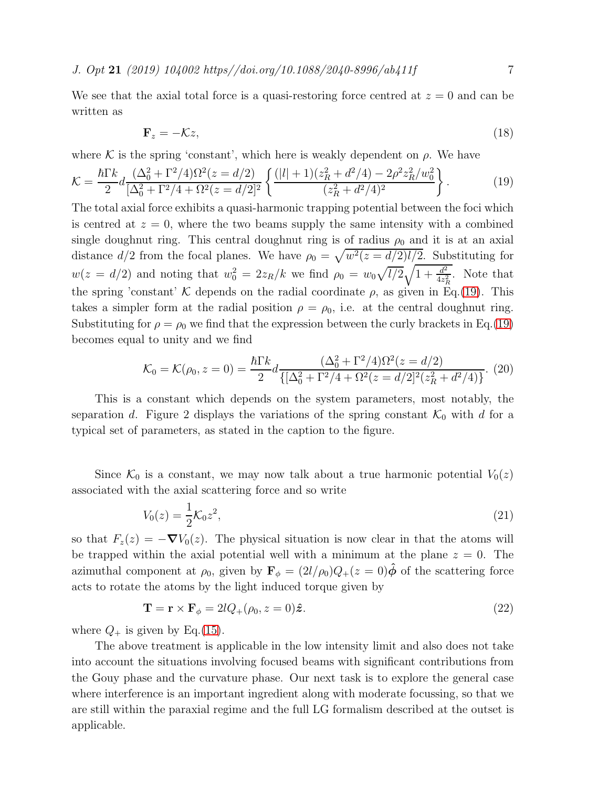J. Opt 21 (2019) 104002 https//doi.org/10.1088/2040-8996/ab411f 7

We see that the axial total force is a quasi-restoring force centred at  $z = 0$  and can be written as

<span id="page-6-0"></span>
$$
\mathbf{F}_z = -\mathcal{K}z,\tag{18}
$$

where K is the spring 'constant', which here is weakly dependent on  $\rho$ . We have

$$
\mathcal{K} = \frac{\hbar \Gamma k}{2} d \frac{(\Delta_0^2 + \Gamma^2/4) \Omega^2 (z = d/2)}{[\Delta_0^2 + \Gamma^2/4 + \Omega^2 (z = d/2)]^2} \left\{ \frac{(|l| + 1)(z_R^2 + d^2/4) - 2\rho^2 z_R^2 / w_0^2}{(z_R^2 + d^2/4)^2} \right\}.
$$
(19)

The total axial force exhibits a quasi-harmonic trapping potential between the foci which is centred at  $z = 0$ , where the two beams supply the same intensity with a combined single doughnut ring. This central doughnut ring is of radius  $\rho_0$  and it is at an axial distance  $d/2$  from the focal planes. We have  $\rho_0 = \sqrt{w^2(z - d/2)l/2}$ . Substituting for  $w(z = d/2)$  and noting that  $w_0^2 = 2z_R/k$  we find  $\rho_0 = w_0 \sqrt{l/2} \sqrt{1 + \frac{d^2}{4z_0^2}}$  $\frac{d^2}{4z_R^2}$ . Note that the spring 'constant' K depends on the radial coordinate  $\rho$ , as given in Eq.[\(19\)](#page-6-0). This takes a simpler form at the radial position  $\rho = \rho_0$ , i.e. at the central doughnut ring. Substituting for  $\rho = \rho_0$  we find that the expression between the curly brackets in Eq.[\(19\)](#page-6-0) becomes equal to unity and we find

$$
\mathcal{K}_0 = \mathcal{K}(\rho_0, z = 0) = \frac{\hbar \Gamma k}{2} d \frac{(\Delta_0^2 + \Gamma^2/4) \Omega^2(z = d/2)}{\{ [\Delta_0^2 + \Gamma^2/4 + \Omega^2(z = d/2)]^2 (z_R^2 + d^2/4) \}}.
$$
 (20)

This is a constant which depends on the system parameters, most notably, the separation d. Figure 2 displays the variations of the spring constant  $\mathcal{K}_0$  with d for a typical set of parameters, as stated in the caption to the figure.

Since  $\mathcal{K}_0$  is a constant, we may now talk about a true harmonic potential  $V_0(z)$ associated with the axial scattering force and so write

$$
V_0(z) = \frac{1}{2} \mathcal{K}_0 z^2,\tag{21}
$$

so that  $F_z(z) = -\nabla V_0(z)$ . The physical situation is now clear in that the atoms will be trapped within the axial potential well with a minimum at the plane  $z = 0$ . The azimuthal component at  $\rho_0$ , given by  $\mathbf{F}_{\phi} = (2l/\rho_0)Q_+(z=0)\hat{\phi}$  of the scattering force acts to rotate the atoms by the light induced torque given by

$$
\mathbf{T} = \mathbf{r} \times \mathbf{F}_{\phi} = 2lQ_{+}(\rho_{0}, z = 0)\hat{\mathbf{z}}.
$$
 (22)

where  $Q_+$  is given by Eq.[\(15\)](#page-5-0).

The above treatment is applicable in the low intensity limit and also does not take into account the situations involving focused beams with significant contributions from the Gouy phase and the curvature phase. Our next task is to explore the general case where interference is an important ingredient along with moderate focussing, so that we are still within the paraxial regime and the full LG formalism described at the outset is applicable.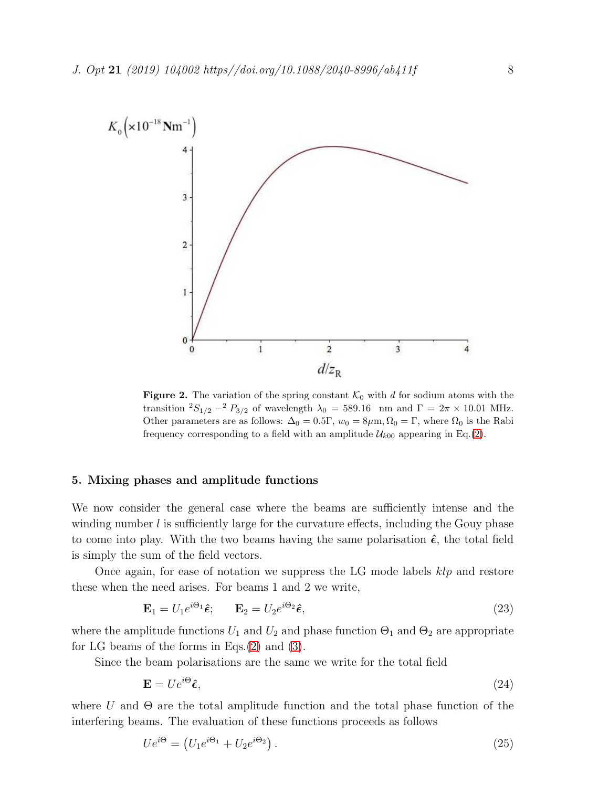

**Figure 2.** The variation of the spring constant  $\mathcal{K}_0$  with d for sodium atoms with the transition  ${}^{2}S_{1/2} - {}^{2}P_{3/2}$  of wavelength  $\lambda_0 = 589.16$  nm and  $\Gamma = 2\pi \times 10.01$  MHz. Other parameters are as follows:  $\Delta_0 = 0.5\Gamma$ ,  $w_0 = 8\mu$ m,  $\Omega_0 = \Gamma$ , where  $\Omega_0$  is the Rabi frequency corresponding to a field with an amplitude  $\mathcal{U}_{k00}$  appearing in Eq.[\(2\)](#page-3-0).

#### 5. Mixing phases and amplitude functions

We now consider the general case where the beams are sufficiently intense and the winding number  $l$  is sufficiently large for the curvature effects, including the Gouy phase to come into play. With the two beams having the same polarisation  $\hat{\epsilon}$ , the total field is simply the sum of the field vectors.

Once again, for ease of notation we suppress the LG mode labels  $klp$  and restore these when the need arises. For beams 1 and 2 we write,

$$
\mathbf{E}_1 = U_1 e^{i\Theta_1} \hat{\boldsymbol{\epsilon}}; \qquad \mathbf{E}_2 = U_2 e^{i\Theta_2} \hat{\boldsymbol{\epsilon}}, \tag{23}
$$

where the amplitude functions  $U_1$  and  $U_2$  and phase function  $\Theta_1$  and  $\Theta_2$  are appropriate for LG beams of the forms in Eqs.[\(2\)](#page-3-0) and [\(3\)](#page-3-1).

Since the beam polarisations are the same we write for the total field

$$
\mathbf{E} = U e^{i\Theta} \hat{\boldsymbol{\epsilon}},\tag{24}
$$

where U and  $\Theta$  are the total amplitude function and the total phase function of the interfering beams. The evaluation of these functions proceeds as follows

$$
Ue^{i\Theta} = (U_1e^{i\Theta_1} + U_2e^{i\Theta_2}).
$$
\n(25)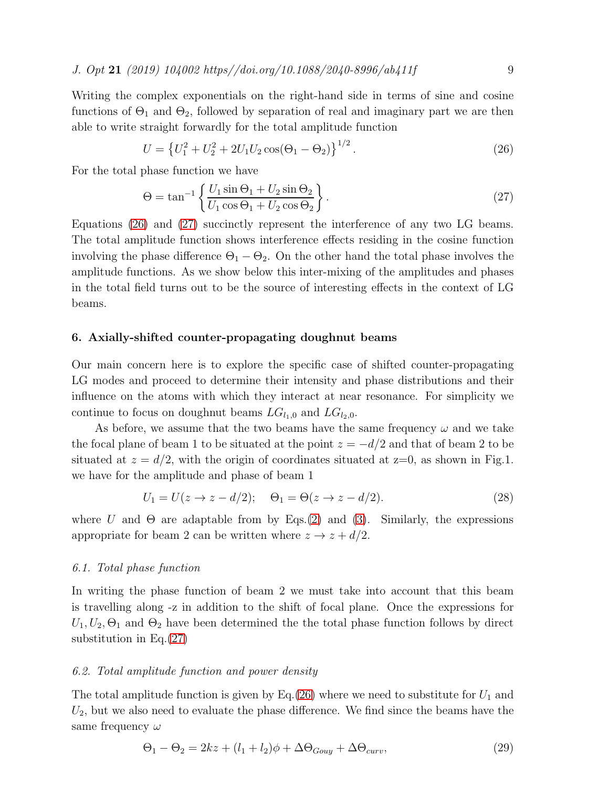J. Opt 21 (2019) 104002 https//doi.org/10.1088/2040-8996/ab411f 9

Writing the complex exponentials on the right-hand side in terms of sine and cosine functions of  $\Theta_1$  and  $\Theta_2$ , followed by separation of real and imaginary part we are then able to write straight forwardly for the total amplitude function

<span id="page-8-0"></span>
$$
U = \left\{ U_1^2 + U_2^2 + 2U_1U_2\cos(\Theta_1 - \Theta_2) \right\}^{1/2}.
$$
 (26)

For the total phase function we have

<span id="page-8-1"></span>
$$
\Theta = \tan^{-1} \left\{ \frac{U_1 \sin \Theta_1 + U_2 \sin \Theta_2}{U_1 \cos \Theta_1 + U_2 \cos \Theta_2} \right\}.
$$
\n(27)

Equations [\(26\)](#page-8-0) and [\(27\)](#page-8-1) succinctly represent the interference of any two LG beams. The total amplitude function shows interference effects residing in the cosine function involving the phase difference  $\Theta_1 - \Theta_2$ . On the other hand the total phase involves the amplitude functions. As we show below this inter-mixing of the amplitudes and phases in the total field turns out to be the source of interesting effects in the context of LG beams.

## 6. Axially-shifted counter-propagating doughnut beams

Our main concern here is to explore the specific case of shifted counter-propagating LG modes and proceed to determine their intensity and phase distributions and their influence on the atoms with which they interact at near resonance. For simplicity we continue to focus on doughnut beams  $LG_{l_1,0}$  and  $LG_{l_2,0}$ .

As before, we assume that the two beams have the same frequency  $\omega$  and we take the focal plane of beam 1 to be situated at the point  $z = -d/2$  and that of beam 2 to be situated at  $z = d/2$ , with the origin of coordinates situated at  $z=0$ , as shown in Fig.1. we have for the amplitude and phase of beam 1

$$
U_1 = U(z \to z - d/2); \quad \Theta_1 = \Theta(z \to z - d/2). \tag{28}
$$

where U and  $\Theta$  are adaptable from by Eqs.[\(2\)](#page-3-0) and [\(3\)](#page-3-1). Similarly, the expressions appropriate for beam 2 can be written where  $z \to z + d/2$ .

#### 6.1. Total phase function

In writing the phase function of beam 2 we must take into account that this beam is travelling along -z in addition to the shift of focal plane. Once the expressions for  $U_1, U_2, \Theta_1$  and  $\Theta_2$  have been determined the the total phase function follows by direct substitution in Eq. $(27)$ 

#### 6.2. Total amplitude function and power density

The total amplitude function is given by Eq.[\(26\)](#page-8-0) where we need to substitute for  $U_1$  and  $U_2$ , but we also need to evaluate the phase difference. We find since the beams have the same frequency  $\omega$ 

$$
\Theta_1 - \Theta_2 = 2kz + (l_1 + l_2)\phi + \Delta\Theta_{Gouy} + \Delta\Theta_{curv},\tag{29}
$$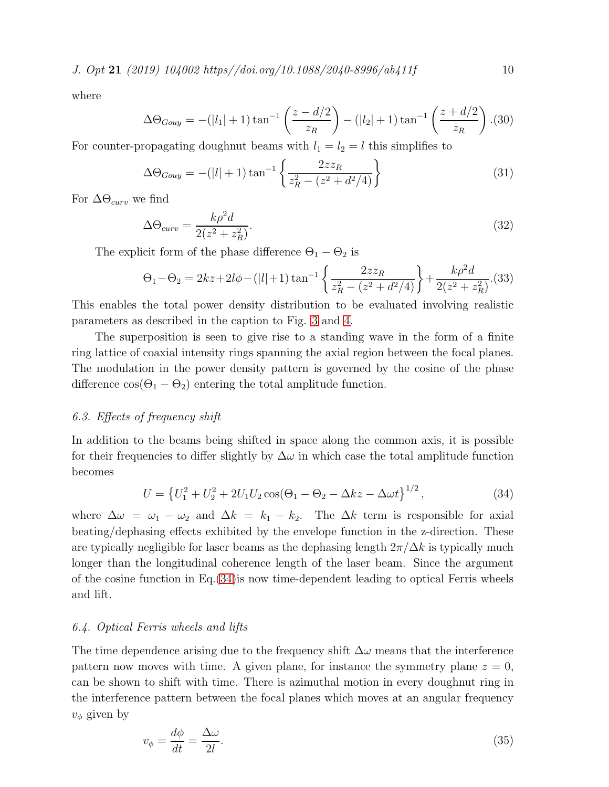where

$$
\Delta\Theta_{Gouy} = -(|l_1| + 1)\tan^{-1}\left(\frac{z - d/2}{z_R}\right) - (|l_2| + 1)\tan^{-1}\left(\frac{z + d/2}{z_R}\right). (30)
$$

For counter-propagating doughnut beams with  $l_1 = l_2 = l$  this simplifies to

$$
\Delta\Theta_{Gouy} = -(|l|+1)\tan^{-1}\left\{\frac{2zz_R}{z_R^2 - (z^2 + d^2/4)}\right\} \tag{31}
$$

For  $\Delta\Theta_{curv}$  we find

$$
\Delta\Theta_{curv} = \frac{k\rho^2 d}{2(z^2 + z_R^2)}.\tag{32}
$$

The explicit form of the phase difference  $\Theta_1 - \Theta_2$  is

$$
\Theta_1 - \Theta_2 = 2kz + 2l\phi - (|l|+1)\tan^{-1}\left\{\frac{2zz_R}{z_R^2 - (z^2 + d^2/4)}\right\} + \frac{k\rho^2d}{2(z^2 + z_R^2)}.
$$
(33)

This enables the total power density distribution to be evaluated involving realistic parameters as described in the caption to Fig. [3](#page-10-0) and [4.](#page-11-0)

The superposition is seen to give rise to a standing wave in the form of a finite ring lattice of coaxial intensity rings spanning the axial region between the focal planes. The modulation in the power density pattern is governed by the cosine of the phase difference  $\cos(\Theta_1 - \Theta_2)$  entering the total amplitude function.

## 6.3. Effects of frequency shift

In addition to the beams being shifted in space along the common axis, it is possible for their frequencies to differ slightly by  $\Delta\omega$  in which case the total amplitude function becomes

<span id="page-9-0"></span>
$$
U = \left\{ U_1^2 + U_2^2 + 2U_1U_2\cos(\Theta_1 - \Theta_2 - \Delta kz - \Delta\omega t \right\}^{1/2},\tag{34}
$$

where  $\Delta \omega = \omega_1 - \omega_2$  and  $\Delta k = k_1 - k_2$ . The  $\Delta k$  term is responsible for axial beating/dephasing effects exhibited by the envelope function in the z-direction. These are typically negligible for laser beams as the dephasing length  $2\pi/\Delta k$  is typically much longer than the longitudinal coherence length of the laser beam. Since the argument of the cosine function in Eq.  $(34)$  is now time-dependent leading to optical Ferris wheels and lift.

## 6.4. Optical Ferris wheels and lifts

The time dependence arising due to the frequency shift  $\Delta\omega$  means that the interference pattern now moves with time. A given plane, for instance the symmetry plane  $z = 0$ , can be shown to shift with time. There is azimuthal motion in every doughnut ring in the interference pattern between the focal planes which moves at an angular frequency  $v_{\phi}$  given by

$$
v_{\phi} = \frac{d\phi}{dt} = \frac{\Delta\omega}{2l}.
$$
\n(35)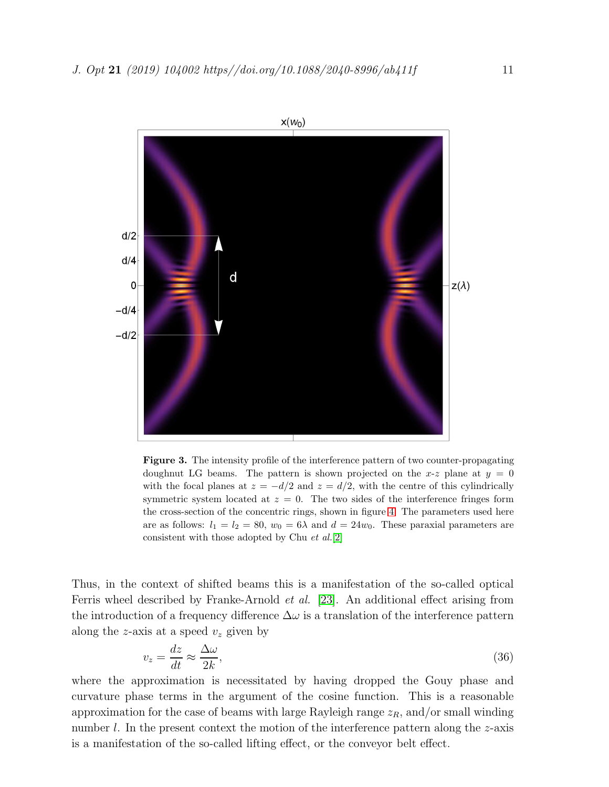

<span id="page-10-0"></span>Figure 3. The intensity profile of the interference pattern of two counter-propagating doughnut LG beams. The pattern is shown projected on the x-z plane at  $y = 0$ with the focal planes at  $z = -d/2$  and  $z = d/2$ , with the centre of this cylindrically symmetric system located at  $z = 0$ . The two sides of the interference fringes form the cross-section of the concentric rings, shown in figure [4.](#page-11-0) The parameters used here are as follows:  $l_1 = l_2 = 80$ ,  $w_0 = 6\lambda$  and  $d = 24w_0$ . These paraxial parameters are consistent with those adopted by Chu *et al.*[\[2\]](#page-13-1)

Thus, in the context of shifted beams this is a manifestation of the so-called optical Ferris wheel described by Franke-Arnold et al. [\[23\]](#page-14-10). An additional effect arising from the introduction of a frequency difference  $\Delta\omega$  is a translation of the interference pattern along the z-axis at a speed  $v<sub>z</sub>$  given by

$$
v_z = \frac{dz}{dt} \approx \frac{\Delta\omega}{2k},\tag{36}
$$

where the approximation is necessitated by having dropped the Gouy phase and curvature phase terms in the argument of the cosine function. This is a reasonable approximation for the case of beams with large Rayleigh range  $z_R$ , and/or small winding number  $l$ . In the present context the motion of the interference pattern along the  $z$ -axis is a manifestation of the so-called lifting effect, or the conveyor belt effect.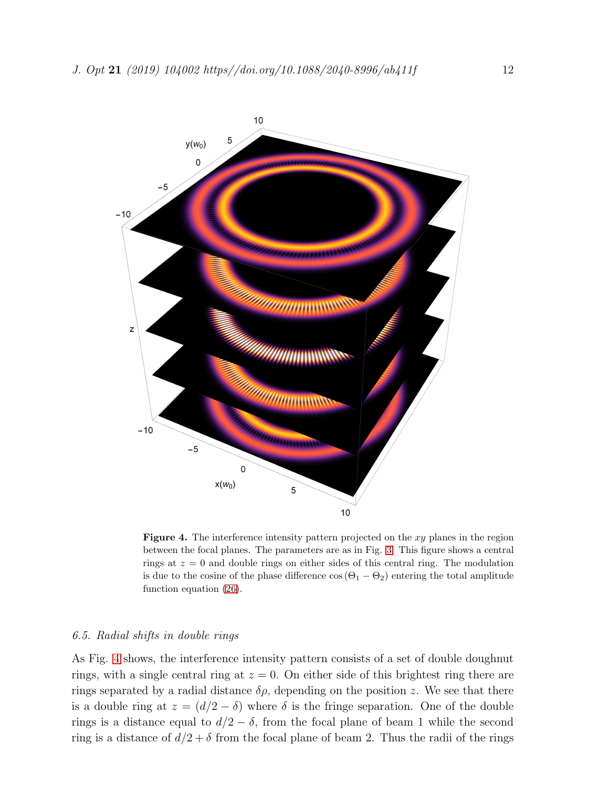

<span id="page-11-0"></span>**Figure 4.** The interference intensity pattern projected on the  $xy$  planes in the region between the focal planes. The parameters are as in Fig. [3.](#page-10-0) This figure shows a central rings at  $z = 0$  and double rings on either sides of this central ring. The modulation is due to the cosine of the phase difference  $\cos(\Theta_1 - \Theta_2)$  entering the total amplitude function equation [\(26\)](#page-8-0).

## 6.5. Radial shifts in double rings

As Fig. [4](#page-11-0) shows, the interference intensity pattern consists of a set of double doughnut rings, with a single central ring at  $z = 0$ . On either side of this brightest ring there are rings separated by a radial distance  $\delta \rho$ , depending on the position z. We see that there is a double ring at  $z = (d/2 - \delta)$  where  $\delta$  is the fringe separation. One of the double rings is a distance equal to  $d/2 - \delta$ , from the focal plane of beam 1 while the second ring is a distance of  $d/2 + \delta$  from the focal plane of beam 2. Thus the radii of the rings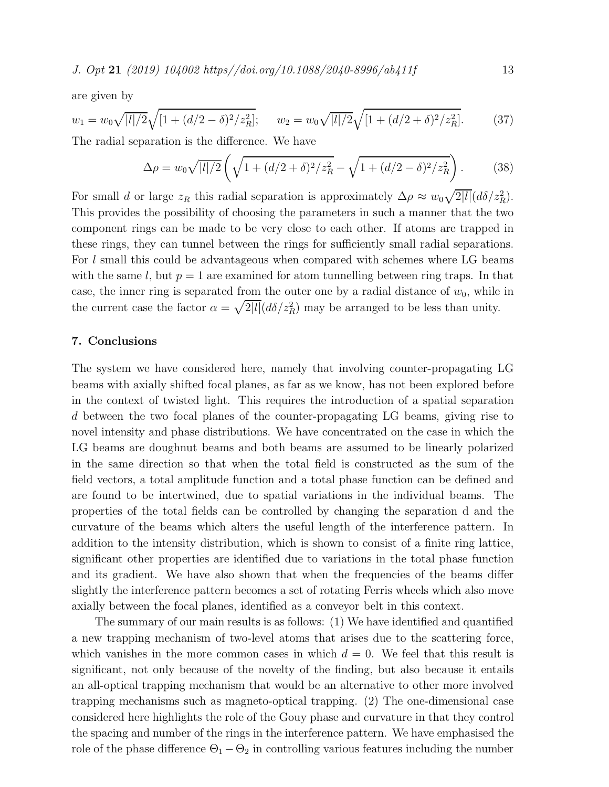are given by

$$
w_1 = w_0 \sqrt{|l|/2} \sqrt{[1 + (d/2 - \delta)^2 / z_R^2]}; \qquad w_2 = w_0 \sqrt{|l|/2} \sqrt{[1 + (d/2 + \delta)^2 / z_R^2]}.
$$
 (37)

The radial separation is the difference. We have

$$
\Delta \rho = w_0 \sqrt{|l|/2} \left( \sqrt{1 + (d/2 + \delta)^2 / z_R^2} - \sqrt{1 + (d/2 - \delta)^2 / z_R^2} \right). \tag{38}
$$

For small d or large  $z_R$  this radial separation is approximately  $\Delta \rho \approx w_0 \sqrt{2|l|} (d\delta/z_R^2)$ . This provides the possibility of choosing the parameters in such a manner that the two component rings can be made to be very close to each other. If atoms are trapped in these rings, they can tunnel between the rings for sufficiently small radial separations. For l small this could be advantageous when compared with schemes where LG beams with the same l, but  $p = 1$  are examined for atom tunnelling between ring traps. In that case, the inner ring is separated from the outer one by a radial distance of  $w_0$ , while in the current case the factor  $\alpha = \sqrt{2|l|} (d\delta / z_R^2)$  may be arranged to be less than unity.

#### 7. Conclusions

The system we have considered here, namely that involving counter-propagating LG beams with axially shifted focal planes, as far as we know, has not been explored before in the context of twisted light. This requires the introduction of a spatial separation d between the two focal planes of the counter-propagating LG beams, giving rise to novel intensity and phase distributions. We have concentrated on the case in which the LG beams are doughnut beams and both beams are assumed to be linearly polarized in the same direction so that when the total field is constructed as the sum of the field vectors, a total amplitude function and a total phase function can be defined and are found to be intertwined, due to spatial variations in the individual beams. The properties of the total fields can be controlled by changing the separation d and the curvature of the beams which alters the useful length of the interference pattern. In addition to the intensity distribution, which is shown to consist of a finite ring lattice, significant other properties are identified due to variations in the total phase function and its gradient. We have also shown that when the frequencies of the beams differ slightly the interference pattern becomes a set of rotating Ferris wheels which also move axially between the focal planes, identified as a conveyor belt in this context.

The summary of our main results is as follows: (1) We have identified and quantified a new trapping mechanism of two-level atoms that arises due to the scattering force, which vanishes in the more common cases in which  $d = 0$ . We feel that this result is significant, not only because of the novelty of the finding, but also because it entails an all-optical trapping mechanism that would be an alternative to other more involved trapping mechanisms such as magneto-optical trapping. (2) The one-dimensional case considered here highlights the role of the Gouy phase and curvature in that they control the spacing and number of the rings in the interference pattern. We have emphasised the role of the phase difference  $\Theta_1 - \Theta_2$  in controlling various features including the number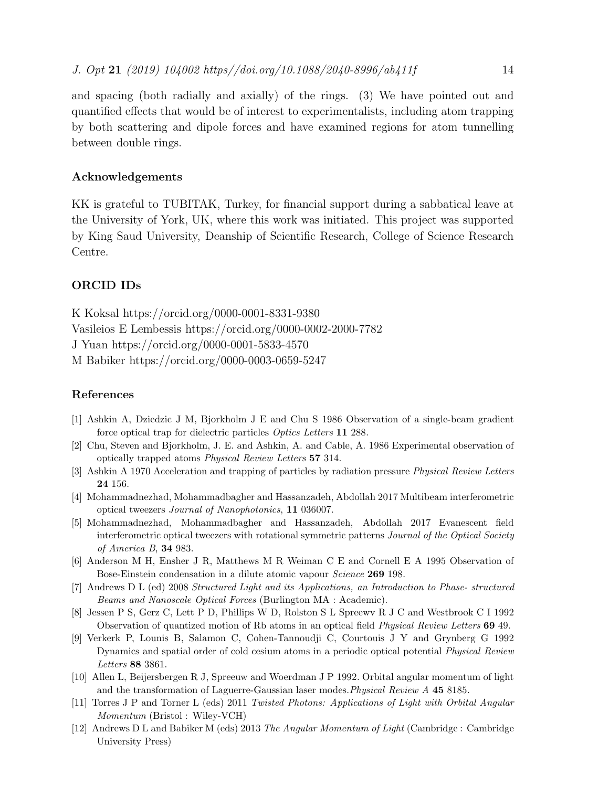and spacing (both radially and axially) of the rings. (3) We have pointed out and quantified effects that would be of interest to experimentalists, including atom trapping by both scattering and dipole forces and have examined regions for atom tunnelling between double rings.

## Acknowledgements

KK is grateful to TUBITAK, Turkey, for financial support during a sabbatical leave at the University of York, UK, where this work was initiated. This project was supported by King Saud University, Deanship of Scientific Research, College of Science Research Centre.

# ORCID IDs

K Koksal https://orcid.org/0000-0001-8331-9380 Vasileios E Lembessis https://orcid.org/0000-0002-2000-7782 J Yuan https://orcid.org/0000-0001-5833-4570 M Babiker https://orcid.org/0000-0003-0659-5247

## <span id="page-13-0"></span>References

- <span id="page-13-1"></span>[1] Ashkin A, Dziedzic J M, Bjorkholm J E and Chu S 1986 Observation of a single-beam gradient force optical trap for dielectric particles *Optics Letters* 11 288.
- <span id="page-13-2"></span>[2] Chu, Steven and Bjorkholm, J. E. and Ashkin, A. and Cable, A. 1986 Experimental observation of optically trapped atoms *Physical Review Letters* 57 314.
- <span id="page-13-3"></span>[3] Ashkin A 1970 Acceleration and trapping of particles by radiation pressure *Physical Review Letters* 24 156.
- <span id="page-13-4"></span>[4] Mohammadnezhad, Mohammadbagher and Hassanzadeh, Abdollah 2017 Multibeam interferometric optical tweezers *Journal of Nanophotonics*, 11 036007.
- [5] Mohammadnezhad, Mohammadbagher and Hassanzadeh, Abdollah 2017 Evanescent field interferometric optical tweezers with rotational symmetric patterns *Journal of the Optical Society of America B*, 34 983.
- <span id="page-13-6"></span><span id="page-13-5"></span>[6] Anderson M H, Ensher J R, Matthews M R Weiman C E and Cornell E A 1995 Observation of Bose-Einstein condensation in a dilute atomic vapour *Science* 269 198.
- [7] Andrews D L (ed) 2008 *Structured Light and its Applications, an Introduction to Phase- structured Beams and Nanoscale Optical Forces* (Burlington MA : Academic).
- <span id="page-13-7"></span>[8] Jessen P S, Gerz C, Lett P D, Phillips W D, Rolston S L Spreewv R J C and Westbrook C I 1992 Observation of quantized motion of Rb atoms in an optical field *Physical Review Letters* 69 49.
- <span id="page-13-8"></span>[9] Verkerk P, Lounis B, Salamon C, Cohen-Tannoudji C, Courtouis J Y and Grynberg G 1992 Dynamics and spatial order of cold cesium atoms in a periodic optical potential *Physical Review Letters* 88 3861.
- <span id="page-13-9"></span>[10] Allen L, Beijersbergen R J, Spreeuw and Woerdman J P 1992. Orbital angular momentum of light and the transformation of Laguerre-Gaussian laser modes.*Physical Review A* 45 8185.
- <span id="page-13-10"></span>[11] Torres J P and Torner L (eds) 2011 *Twisted Photons: Applications of Light with Orbital Angular Momentum* (Bristol : Wiley-VCH)
- [12] Andrews D L and Babiker M (eds) 2013 *The Angular Momentum of Light* (Cambridge : Cambridge University Press)